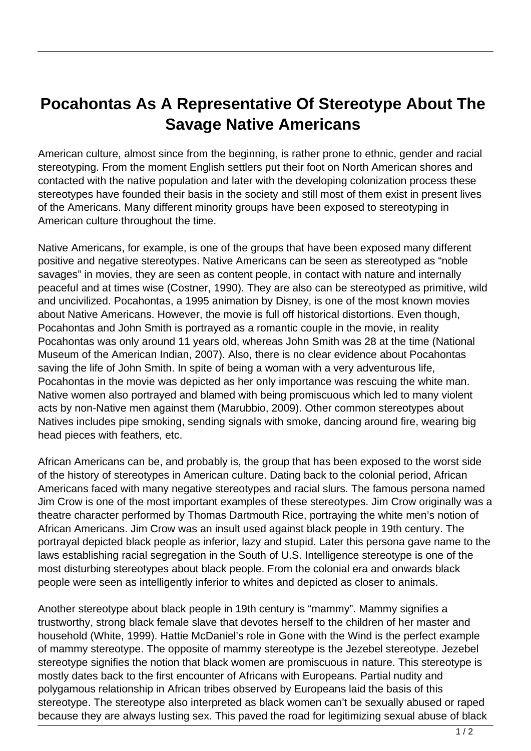## **Pocahontas As A Representative Of Stereotype About The Savage Native Americans**

American culture, almost since from the beginning, is rather prone to ethnic, gender and racial stereotyping. From the moment English settlers put their foot on North American shores and contacted with the native population and later with the developing colonization process these stereotypes have founded their basis in the society and still most of them exist in present lives of the Americans. Many different minority groups have been exposed to stereotyping in American culture throughout the time.

Native Americans, for example, is one of the groups that have been exposed many different positive and negative stereotypes. Native Americans can be seen as stereotyped as "noble savages" in movies, they are seen as content people, in contact with nature and internally peaceful and at times wise (Costner, 1990). They are also can be stereotyped as primitive, wild and uncivilized. Pocahontas, a 1995 animation by Disney, is one of the most known movies about Native Americans. However, the movie is full off historical distortions. Even though, Pocahontas and John Smith is portrayed as a romantic couple in the movie, in reality Pocahontas was only around 11 years old, whereas John Smith was 28 at the time (National Museum of the American Indian, 2007). Also, there is no clear evidence about Pocahontas saving the life of John Smith. In spite of being a woman with a very adventurous life, Pocahontas in the movie was depicted as her only importance was rescuing the white man. Native women also portrayed and blamed with being promiscuous which led to many violent acts by non-Native men against them (Marubbio, 2009). Other common stereotypes about Natives includes pipe smoking, sending signals with smoke, dancing around fire, wearing big head pieces with feathers, etc.

African Americans can be, and probably is, the group that has been exposed to the worst side of the history of stereotypes in American culture. Dating back to the colonial period, African Americans faced with many negative stereotypes and racial slurs. The famous persona named Jim Crow is one of the most important examples of these stereotypes. Jim Crow originally was a theatre character performed by Thomas Dartmouth Rice, portraying the white men's notion of African Americans. Jim Crow was an insult used against black people in 19th century. The portrayal depicted black people as inferior, lazy and stupid. Later this persona gave name to the laws establishing racial segregation in the South of U.S. Intelligence stereotype is one of the most disturbing stereotypes about black people. From the colonial era and onwards black people were seen as intelligently inferior to whites and depicted as closer to animals.

Another stereotype about black people in 19th century is "mammy". Mammy signifies a trustworthy, strong black female slave that devotes herself to the children of her master and household (White, 1999). Hattie McDaniel's role in Gone with the Wind is the perfect example of mammy stereotype. The opposite of mammy stereotype is the Jezebel stereotype. Jezebel stereotype signifies the notion that black women are promiscuous in nature. This stereotype is mostly dates back to the first encounter of Africans with Europeans. Partial nudity and polygamous relationship in African tribes observed by Europeans laid the basis of this stereotype. The stereotype also interpreted as black women can't be sexually abused or raped because they are always lusting sex. This paved the road for legitimizing sexual abuse of black